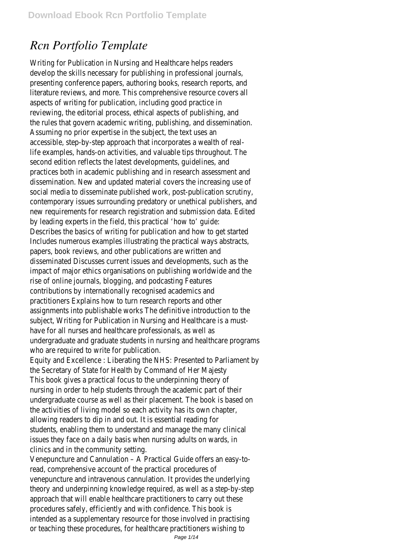# *Rcn Portfolio Template*

Writing for Publication in Nursing and Healthcare helps readers develop the skills necessary for publishing in professional journals, presenting conference papers, authoring books, research reports, and literature reviews, and more. This comprehensive resource covers all aspects of writing for publication, including good practice in reviewing, the editorial process, ethical aspects of publishing, and the rules that govern academic writing, publishing, and dissemination. Assuming no prior expertise in the subject, the text uses an accessible, step-by-step approach that incorporates a wealth of reallife examples, hands-on activities, and valuable tips throughout. The second edition reflects the latest developments, guidelines, and practices both in academic publishing and in research assessment and dissemination. New and updated material covers the increasing use of social media to disseminate published work, post-publication scrutiny, contemporary issues surrounding predatory or unethical publishers, and new requirements for research registration and submission data. Edited by leading experts in the field, this practical 'how to' guide: Describes the basics of writing for publication and how to get started Includes numerous examples illustrating the practical ways abstracts, papers, book reviews, and other publications are written and disseminated Discusses current issues and developments, such as the impact of major ethics organisations on publishing worldwide and the rise of online journals, blogging, and podcasting Features contributions by internationally recognised academics and practitioners Explains how to turn research reports and other assignments into publishable works The definitive introduction to the subject, Writing for Publication in Nursing and Healthcare is a musthave for all nurses and healthcare professionals, as well as undergraduate and graduate students in nursing and healthcare programs who are required to write for publication.

Equity and Excellence : Liberating the NHS: Presented to Parliament by the Secretary of State for Health by Command of Her Majesty This book gives a practical focus to the underpinning theory of nursing in order to help students through the academic part of their undergraduate course as well as their placement. The book is based on the activities of living model so each activity has its own chapter, allowing readers to dip in and out. It is essential reading for students, enabling them to understand and manage the many clinical issues they face on a daily basis when nursing adults on wards, in clinics and in the community setting.

Venepuncture and Cannulation – A Practical Guide offers an easy-toread, comprehensive account of the practical procedures of venepuncture and intravenous cannulation. It provides the underlying theory and underpinning knowledge required, as well as a step-by-step approach that will enable healthcare practitioners to carry out these procedures safely, efficiently and with confidence. This book is intended as a supplementary resource for those involved in practising or teaching these procedures, for healthcare practitioners wishing to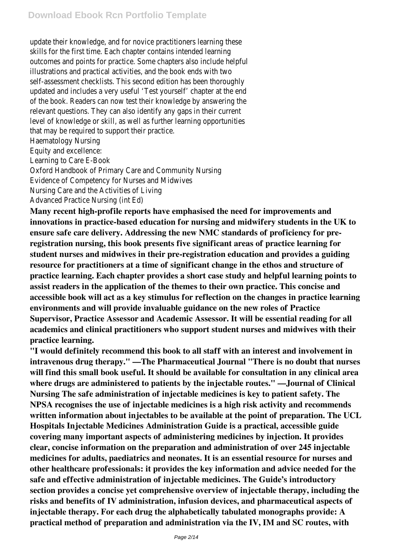update their knowledge, and for novice practitioners learning these skills for the first time. Each chapter contains intended learning outcomes and points for practice. Some chapters also include helpful illustrations and practical activities, and the book ends with two self-assessment checklists. This second edition has been thoroughly updated and includes a very useful 'Test yourself' chapter at the end of the book. Readers can now test their knowledge by answering the relevant questions. They can also identify any gaps in their current level of knowledge or skill, as well as further learning opportunities that may be required to support their practice.

Haematology Nursing

Equity and excellence:

Learning to Care E-Book

Oxford Handbook of Primary Care and Community Nursing Evidence of Competency for Nurses and Midwives Nursing Care and the Activities of Living

Advanced Practice Nursing (int Ed)

**Many recent high-profile reports have emphasised the need for improvements and innovations in practice-based education for nursing and midwifery students in the UK to ensure safe care delivery. Addressing the new NMC standards of proficiency for preregistration nursing, this book presents five significant areas of practice learning for student nurses and midwives in their pre-registration education and provides a guiding resource for practitioners at a time of significant change in the ethos and structure of practice learning. Each chapter provides a short case study and helpful learning points to assist readers in the application of the themes to their own practice. This concise and accessible book will act as a key stimulus for reflection on the changes in practice learning environments and will provide invaluable guidance on the new roles of Practice Supervisor, Practice Assessor and Academic Assessor. It will be essential reading for all academics and clinical practitioners who support student nurses and midwives with their practice learning.**

**"I would definitely recommend this book to all staff with an interest and involvement in intravenous drug therapy." —The Pharmaceutical Journal "There is no doubt that nurses will find this small book useful. It should be available for consultation in any clinical area where drugs are administered to patients by the injectable routes." —Journal of Clinical Nursing The safe administration of injectable medicines is key to patient safety. The NPSA recognises the use of injectable medicines is a high risk activity and recommends written information about injectables to be available at the point of preparation. The UCL Hospitals Injectable Medicines Administration Guide is a practical, accessible guide covering many important aspects of administering medicines by injection. It provides clear, concise information on the preparation and administration of over 245 injectable medicines for adults, paediatrics and neonates. It is an essential resource for nurses and other healthcare professionals: it provides the key information and advice needed for the safe and effective administration of injectable medicines. The Guide's introductory section provides a concise yet comprehensive overview of injectable therapy, including the risks and benefits of IV administration, infusion devices, and pharmaceutical aspects of injectable therapy. For each drug the alphabetically tabulated monographs provide: A practical method of preparation and administration via the IV, IM and SC routes, with**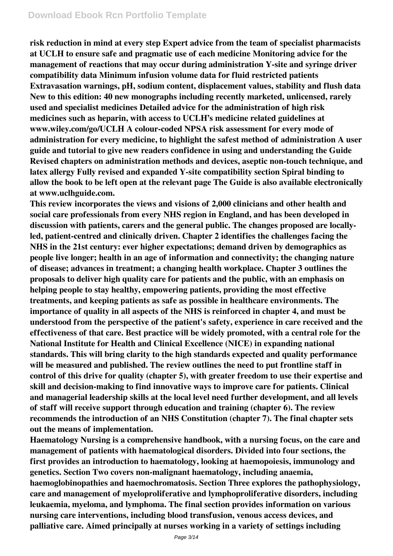**risk reduction in mind at every step Expert advice from the team of specialist pharmacists at UCLH to ensure safe and pragmatic use of each medicine Monitoring advice for the management of reactions that may occur during administration Y-site and syringe driver compatibility data Minimum infusion volume data for fluid restricted patients Extravasation warnings, pH, sodium content, displacement values, stability and flush data New to this edition: 40 new monographs including recently marketed, unlicensed, rarely used and specialist medicines Detailed advice for the administration of high risk medicines such as heparin, with access to UCLH's medicine related guidelines at www.wiley.com/go/UCLH A colour-coded NPSA risk assessment for every mode of administration for every medicine, to highlight the safest method of administration A user guide and tutorial to give new readers confidence in using and understanding the Guide Revised chapters on administration methods and devices, aseptic non-touch technique, and latex allergy Fully revised and expanded Y-site compatibility section Spiral binding to allow the book to be left open at the relevant page The Guide is also available electronically at www.uclhguide.com.**

**This review incorporates the views and visions of 2,000 clinicians and other health and social care professionals from every NHS region in England, and has been developed in discussion with patients, carers and the general public. The changes proposed are locallyled, patient-centred and clinically driven. Chapter 2 identifies the challenges facing the NHS in the 21st century: ever higher expectations; demand driven by demographics as people live longer; health in an age of information and connectivity; the changing nature of disease; advances in treatment; a changing health workplace. Chapter 3 outlines the proposals to deliver high quality care for patients and the public, with an emphasis on helping people to stay healthy, empowering patients, providing the most effective treatments, and keeping patients as safe as possible in healthcare environments. The importance of quality in all aspects of the NHS is reinforced in chapter 4, and must be understood from the perspective of the patient's safety, experience in care received and the effectiveness of that care. Best practice will be widely promoted, with a central role for the National Institute for Health and Clinical Excellence (NICE) in expanding national standards. This will bring clarity to the high standards expected and quality performance will be measured and published. The review outlines the need to put frontline staff in control of this drive for quality (chapter 5), with greater freedom to use their expertise and skill and decision-making to find innovative ways to improve care for patients. Clinical and managerial leadership skills at the local level need further development, and all levels of staff will receive support through education and training (chapter 6). The review recommends the introduction of an NHS Constitution (chapter 7). The final chapter sets out the means of implementation.**

**Haematology Nursing is a comprehensive handbook, with a nursing focus, on the care and management of patients with haematological disorders. Divided into four sections, the first provides an introduction to haematology, looking at haemopoiesis, immunology and genetics. Section Two covers non-malignant haematology, including anaemia, haemoglobinopathies and haemochromatosis. Section Three explores the pathophysiology, care and management of myeloproliferative and lymphoproliferative disorders, including leukaemia, myeloma, and lymphoma. The final section provides information on various nursing care interventions, including blood transfusion, venous access devices, and palliative care. Aimed principally at nurses working in a variety of settings including**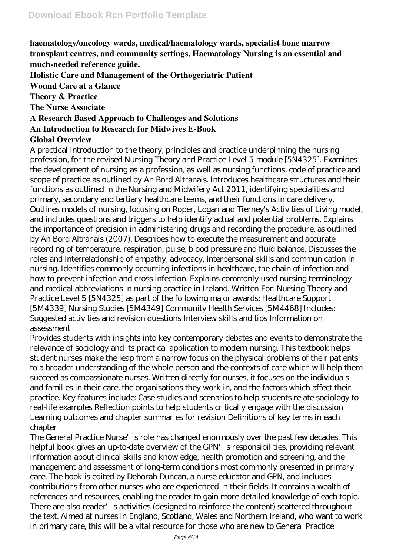**haematology/oncology wards, medical/haematology wards, specialist bone marrow transplant centres, and community settings, Haematology Nursing is an essential and much-needed reference guide.**

**Holistic Care and Management of the Orthogeriatric Patient**

**Wound Care at a Glance**

**Theory & Practice**

**The Nurse Associate**

**A Research Based Approach to Challenges and Solutions**

**An Introduction to Research for Midwives E-Book**

#### **Global Overview**

A practical introduction to the theory, principles and practice underpinning the nursing profession, for the revised Nursing Theory and Practice Level 5 module [5N4325]. Examines the development of nursing as a profession, as well as nursing functions, code of practice and scope of practice as outlined by An Bord Altranais. Introduces healthcare structures and their functions as outlined in the Nursing and Midwifery Act 2011, identifying specialities and primary, secondary and tertiary healthcare teams, and their functions in care delivery. Outlines models of nursing, focusing on Roper, Logan and Tierney's Activities of Living model, and includes questions and triggers to help identify actual and potential problems. Explains the importance of precision in administering drugs and recording the procedure, as outlined by An Bord Altranais (2007). Describes how to execute the measurement and accurate recording of temperature, respiration, pulse, blood pressure and fluid balance. Discusses the roles and interrelationship of empathy, advocacy, interpersonal skills and communication in nursing. Identifies commonly occurring infections in healthcare, the chain of infection and how to prevent infection and cross infection. Explains commonly used nursing terminology and medical abbreviations in nursing practice in Ireland. Written For: Nursing Theory and Practice Level 5 [5N4325] as part of the following major awards: Healthcare Support [5M4339] Nursing Studies [5M4349] Community Health Services [5M4468] Includes: Suggested activities and revision questions Interview skills and tips Information on assessment

Provides students with insights into key contemporary debates and events to demonstrate the relevance of sociology and its practical application to modern nursing. This textbook helps student nurses make the leap from a narrow focus on the physical problems of their patients to a broader understanding of the whole person and the contexts of care which will help them succeed as compassionate nurses. Written directly for nurses, it focuses on the individuals and families in their care, the organisations they work in, and the factors which affect their practice. Key features include: Case studies and scenarios to help students relate sociology to real-life examples Reflection points to help students critically engage with the discussion Learning outcomes and chapter summaries for revision Definitions of key terms in each chapter

The General Practice Nurse's role has changed enormously over the past few decades. This helpful book gives an up-to-date overview of the GPN's responsibilities, providing relevant information about clinical skills and knowledge, health promotion and screening, and the management and assessment of long-term conditions most commonly presented in primary care. The book is edited by Deborah Duncan, a nurse educator and GPN, and includes contributions from other nurses who are experienced in their fields. It contains a wealth of references and resources, enabling the reader to gain more detailed knowledge of each topic. There are also reader's activities (designed to reinforce the content) scattered throughout the text. Aimed at nurses in England, Scotland, Wales and Northern Ireland, who want to work in primary care, this will be a vital resource for those who are new to General Practice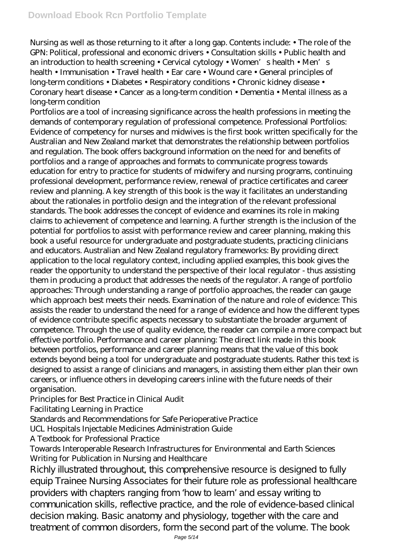Nursing as well as those returning to it after a long gap. Contents include: • The role of the GPN: Political, professional and economic drivers • Consultation skills • Public health and an introduction to health screening • Cervical cytology • Women's health • Men's health • Immunisation • Travel health • Ear care • Wound care • General principles of long-term conditions • Diabetes • Respiratory conditions • Chronic kidney disease • Coronary heart disease • Cancer as a long-term condition • Dementia • Mental illness as a long-term condition

Portfolios are a tool of increasing significance across the health professions in meeting the demands of contemporary regulation of professional competence. Professional Portfolios: Evidence of competency for nurses and midwives is the first book written specifically for the Australian and New Zealand market that demonstrates the relationship between portfolios and regulation. The book offers background information on the need for and benefits of portfolios and a range of approaches and formats to communicate progress towards education for entry to practice for students of midwifery and nursing programs, continuing professional development, performance review, renewal of practice certificates and career review and planning. A key strength of this book is the way it facilitates an understanding about the rationales in portfolio design and the integration of the relevant professional standards. The book addresses the concept of evidence and examines its role in making claims to achievement of competence and learning. A further strength is the inclusion of the potential for portfolios to assist with performance review and career planning, making this book a useful resource for undergraduate and postgraduate students, practicing clinicians and educators. Australian and New Zealand regulatory frameworks: By providing direct application to the local regulatory context, including applied examples, this book gives the reader the opportunity to understand the perspective of their local regulator - thus assisting them in producing a product that addresses the needs of the regulator. A range of portfolio approaches: Through understanding a range of portfolio approaches, the reader can gauge which approach best meets their needs. Examination of the nature and role of evidence: This assists the reader to understand the need for a range of evidence and how the different types of evidence contribute specific aspects necessary to substantiate the broader argument of competence. Through the use of quality evidence, the reader can compile a more compact but effective portfolio. Performance and career planning: The direct link made in this book between portfolios, performance and career planning means that the value of this book extends beyond being a tool for undergraduate and postgraduate students. Rather this text is designed to assist a range of clinicians and managers, in assisting them either plan their own careers, or influence others in developing careers inline with the future needs of their organisation.

Principles for Best Practice in Clinical Audit

Facilitating Learning in Practice

Standards and Recommendations for Safe Perioperative Practice

UCL Hospitals Injectable Medicines Administration Guide

A Textbook for Professional Practice

### Towards Interoperable Research Infrastructures for Environmental and Earth Sciences Writing for Publication in Nursing and Healthcare

Richly illustrated throughout, this comprehensive resource is designed to fully equip Trainee Nursing Associates for their future role as professional healthcare providers with chapters ranging from 'how to learn' and essay writing to communication skills, reflective practice, and the role of evidence-based clinical decision making. Basic anatomy and physiology, together with the care and treatment of common disorders, form the second part of the volume. The book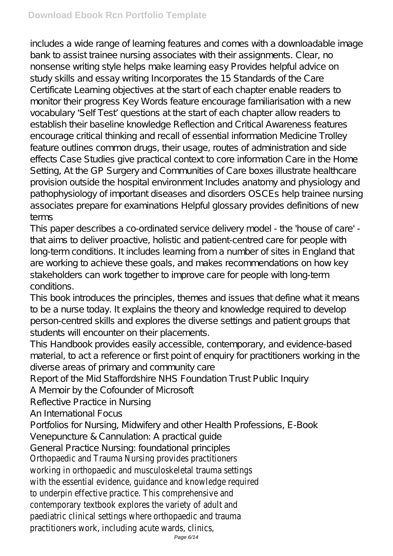includes a wide range of learning features and comes with a downloadable image bank to assist trainee nursing associates with their assignments. Clear, no nonsense writing style helps make learning easy Provides helpful advice on study skills and essay writing Incorporates the 15 Standards of the Care Certificate Learning objectives at the start of each chapter enable readers to monitor their progress Key Words feature encourage familiarisation with a new vocabulary 'Self Test' questions at the start of each chapter allow readers to establish their baseline knowledge Reflection and Critical Awareness features encourage critical thinking and recall of essential information Medicine Trolley feature outlines common drugs, their usage, routes of administration and side effects Case Studies give practical context to core information Care in the Home Setting, At the GP Surgery and Communities of Care boxes illustrate healthcare provision outside the hospital environment Includes anatomy and physiology and pathophysiology of important diseases and disorders OSCEs help trainee nursing associates prepare for examinations Helpful glossary provides definitions of new terms

This paper describes a co-ordinated service delivery model - the 'house of care' that aims to deliver proactive, holistic and patient-centred care for people with long-term conditions. It includes learning from a number of sites in England that are working to achieve these goals, and makes recommendations on how key stakeholders can work together to improve care for people with long-term conditions.

This book introduces the principles, themes and issues that define what it means to be a nurse today. It explains the theory and knowledge required to develop person-centred skills and explores the diverse settings and patient groups that students will encounter on their placements.

This Handbook provides easily accessible, contemporary, and evidence-based material, to act a reference or first point of enquiry for practitioners working in the diverse areas of primary and community care

Report of the Mid Staffordshire NHS Foundation Trust Public Inquiry

A Memoir by the Cofounder of Microsoft

Reflective Practice in Nursing

An International Focus

Portfolios for Nursing, Midwifery and other Health Professions, E-Book Venepuncture & Cannulation: A practical guide

General Practice Nursing: foundational principles

Orthopaedic and Trauma Nursing provides practitioners working in orthopaedic and musculoskeletal trauma settings with the essential evidence, guidance and knowledge required to underpin effective practice. This comprehensive and contemporary textbook explores the variety of adult and paediatric clinical settings where orthopaedic and trauma practitioners work, including acute wards, clinics,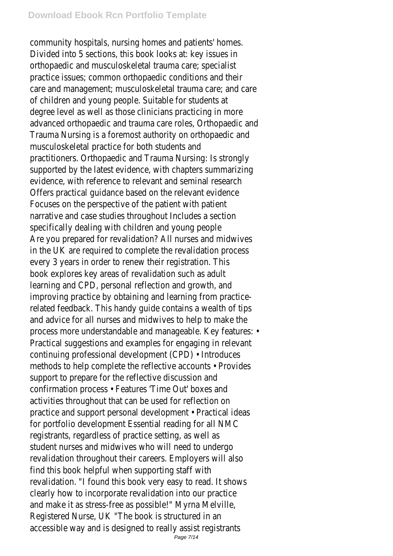#### **Download Ebook Rcn Portfolio Template**

community hospitals, nursing homes and patients' homes. Divided into 5 sections, this book looks at: key issues in orthopaedic and musculoskeletal trauma care; specialist practice issues; common orthopaedic conditions and their care and management; musculoskeletal trauma care; and care of children and young people. Suitable for students at degree level as well as those clinicians practicing in more advanced orthopaedic and trauma care roles, Orthopaedic and Trauma Nursing is a foremost authority on orthopaedic and musculoskeletal practice for both students and practitioners. Orthopaedic and Trauma Nursing: Is strongly supported by the latest evidence, with chapters summarizing evidence, with reference to relevant and seminal research Offers practical guidance based on the relevant evidence Focuses on the perspective of the patient with patient narrative and case studies throughout Includes a section specifically dealing with children and young people Are you prepared for revalidation? All nurses and midwives in the UK are required to complete the revalidation process every 3 years in order to renew their registration. This book explores key areas of revalidation such as adult learning and CPD, personal reflection and growth, and improving practice by obtaining and learning from practicerelated feedback. This handy guide contains a wealth of tips and advice for all nurses and midwives to help to make the process more understandable and manageable. Key features: • Practical suggestions and examples for engaging in relevant continuing professional development (CPD) • Introduces methods to help complete the reflective accounts • Provides support to prepare for the reflective discussion and confirmation process • Features 'Time Out' boxes and activities throughout that can be used for reflection on practice and support personal development • Practical ideas for portfolio development Essential reading for all NMC registrants, regardless of practice setting, as well as student nurses and midwives who will need to undergo revalidation throughout their careers. Employers will also find this book helpful when supporting staff with revalidation. "I found this book very easy to read. It shows clearly how to incorporate revalidation into our practice and make it as stress-free as possible!" Myrna Melville, Registered Nurse, UK "The book is structured in an accessible way and is designed to really assist registrants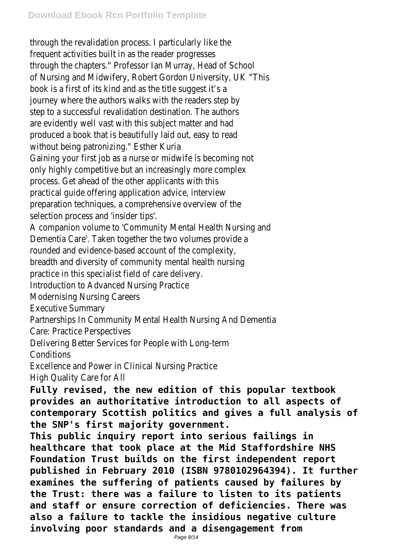through the revalidation process. I particularly like the frequent activities built in as the reader progresses through the chapters." Professor Ian Murray, Head of School of Nursing and Midwifery, Robert Gordon University, UK "This book is a first of its kind and as the title suggest it's a journey where the authors walks with the readers step by step to a successful revalidation destination. The authors are evidently well vast with this subject matter and had produced a book that is beautifully laid out, easy to read without being patronizing." Esther Kuria Gaining your first job as a nurse or midwife is becoming not only highly competitive but an increasingly more complex process. Get ahead of the other applicants with this practical guide offering application advice, interview preparation techniques, a comprehensive overview of the selection process and 'insider tips'. A companion volume to 'Community Mental Health Nursing and Dementia Care'. Taken together the two volumes provide a rounded and evidence-based account of the complexity, breadth and diversity of community mental health nursing practice in this specialist field of care delivery. Introduction to Advanced Nursing Practice Modernising Nursing Careers Executive Summary Partnerships In Community Mental Health Nursing And Dementia Care: Practice Perspectives Delivering Better Services for People with Long-term **Conditions** Excellence and Power in Clinical Nursing Practice High Quality Care for All

**Fully revised, the new edition of this popular textbook provides an authoritative introduction to all aspects of contemporary Scottish politics and gives a full analysis of the SNP's first majority government.**

**This public inquiry report into serious failings in healthcare that took place at the Mid Staffordshire NHS Foundation Trust builds on the first independent report published in February 2010 (ISBN 9780102964394). It further examines the suffering of patients caused by failures by the Trust: there was a failure to listen to its patients and staff or ensure correction of deficiencies. There was also a failure to tackle the insidious negative culture involving poor standards and a disengagement from**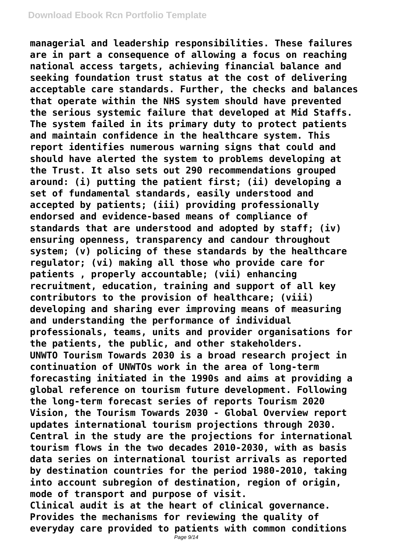**managerial and leadership responsibilities. These failures are in part a consequence of allowing a focus on reaching national access targets, achieving financial balance and seeking foundation trust status at the cost of delivering acceptable care standards. Further, the checks and balances that operate within the NHS system should have prevented the serious systemic failure that developed at Mid Staffs. The system failed in its primary duty to protect patients and maintain confidence in the healthcare system. This report identifies numerous warning signs that could and should have alerted the system to problems developing at the Trust. It also sets out 290 recommendations grouped around: (i) putting the patient first; (ii) developing a set of fundamental standards, easily understood and accepted by patients; (iii) providing professionally endorsed and evidence-based means of compliance of standards that are understood and adopted by staff; (iv) ensuring openness, transparency and candour throughout system; (v) policing of these standards by the healthcare regulator; (vi) making all those who provide care for patients , properly accountable; (vii) enhancing recruitment, education, training and support of all key contributors to the provision of healthcare; (viii) developing and sharing ever improving means of measuring and understanding the performance of individual professionals, teams, units and provider organisations for the patients, the public, and other stakeholders. UNWTO Tourism Towards 2030 is a broad research project in continuation of UNWTOs work in the area of long-term forecasting initiated in the 1990s and aims at providing a global reference on tourism future development. Following the long-term forecast series of reports Tourism 2020 Vision, the Tourism Towards 2030 - Global Overview report updates international tourism projections through 2030. Central in the study are the projections for international tourism flows in the two decades 2010-2030, with as basis data series on international tourist arrivals as reported by destination countries for the period 1980-2010, taking into account subregion of destination, region of origin, mode of transport and purpose of visit. Clinical audit is at the heart of clinical governance. Provides the mechanisms for reviewing the quality of everyday care provided to patients with common conditions**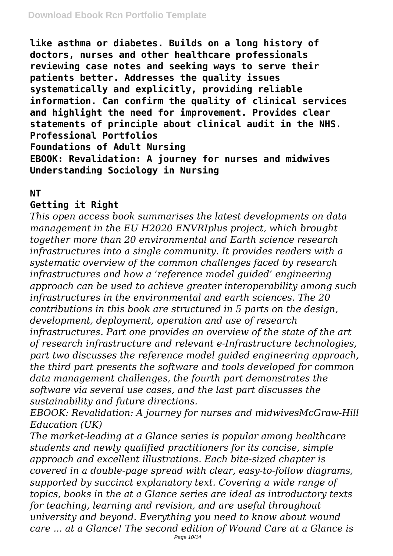**like asthma or diabetes. Builds on a long history of doctors, nurses and other healthcare professionals reviewing case notes and seeking ways to serve their patients better. Addresses the quality issues systematically and explicitly, providing reliable information. Can confirm the quality of clinical services and highlight the need for improvement. Provides clear statements of principle about clinical audit in the NHS. Professional Portfolios Foundations of Adult Nursing EBOOK: Revalidation: A journey for nurses and midwives Understanding Sociology in Nursing**

### **NT**

## **Getting it Right**

*This open access book summarises the latest developments on data management in the EU H2020 ENVRIplus project, which brought together more than 20 environmental and Earth science research infrastructures into a single community. It provides readers with a systematic overview of the common challenges faced by research infrastructures and how a 'reference model guided' engineering approach can be used to achieve greater interoperability among such infrastructures in the environmental and earth sciences. The 20 contributions in this book are structured in 5 parts on the design, development, deployment, operation and use of research infrastructures. Part one provides an overview of the state of the art of research infrastructure and relevant e-Infrastructure technologies, part two discusses the reference model guided engineering approach, the third part presents the software and tools developed for common data management challenges, the fourth part demonstrates the software via several use cases, and the last part discusses the sustainability and future directions.*

*EBOOK: Revalidation: A journey for nurses and midwivesMcGraw-Hill Education (UK)*

*The market-leading at a Glance series is popular among healthcare students and newly qualified practitioners for its concise, simple approach and excellent illustrations. Each bite-sized chapter is covered in a double-page spread with clear, easy-to-follow diagrams, supported by succinct explanatory text. Covering a wide range of topics, books in the at a Glance series are ideal as introductory texts for teaching, learning and revision, and are useful throughout university and beyond. Everything you need to know about wound care ... at a Glance! The second edition of Wound Care at a Glance is*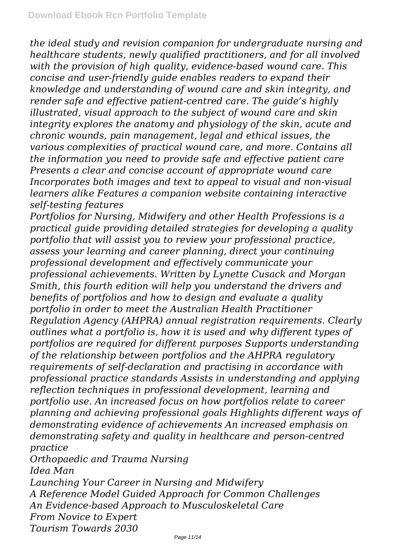*the ideal study and revision companion for undergraduate nursing and healthcare students, newly qualified practitioners, and for all involved with the provision of high quality, evidence-based wound care. This concise and user-friendly guide enables readers to expand their knowledge and understanding of wound care and skin integrity, and render safe and effective patient-centred care. The guide's highly illustrated, visual approach to the subject of wound care and skin integrity explores the anatomy and physiology of the skin, acute and chronic wounds, pain management, legal and ethical issues, the various complexities of practical wound care, and more. Contains all the information you need to provide safe and effective patient care Presents a clear and concise account of appropriate wound care Incorporates both images and text to appeal to visual and non-visual learners alike Features a companion website containing interactive self-testing features*

*Portfolios for Nursing, Midwifery and other Health Professions is a practical guide providing detailed strategies for developing a quality portfolio that will assist you to review your professional practice, assess your learning and career planning, direct your continuing professional development and effectively communicate your professional achievements. Written by Lynette Cusack and Morgan Smith, this fourth edition will help you understand the drivers and benefits of portfolios and how to design and evaluate a quality portfolio in order to meet the Australian Health Practitioner Regulation Agency (AHPRA) annual registration requirements. Clearly outlines what a portfolio is, how it is used and why different types of portfolios are required for different purposes Supports understanding of the relationship between portfolios and the AHPRA regulatory requirements of self-declaration and practising in accordance with professional practice standards Assists in understanding and applying reflection techniques in professional development, learning and portfolio use. An increased focus on how portfolios relate to career planning and achieving professional goals Highlights different ways of demonstrating evidence of achievements An increased emphasis on demonstrating safety and quality in healthcare and person-centred practice*

*Orthopaedic and Trauma Nursing Idea Man Launching Your Career in Nursing and Midwifery A Reference Model Guided Approach for Common Challenges An Evidence-based Approach to Musculoskeletal Care From Novice to Expert Tourism Towards 2030*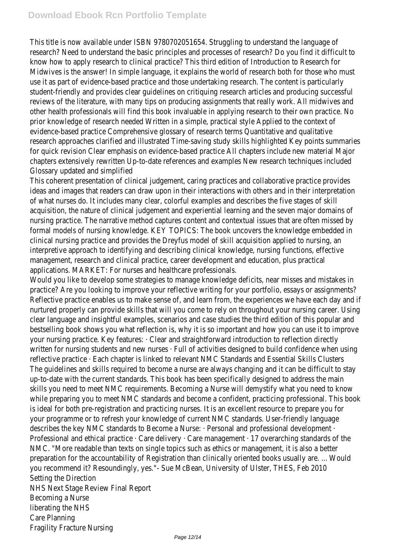This title is now available under ISBN 9780702051654. Struggling to understand the language of research? Need to understand the basic principles and processes of research? Do you find it difficult to know how to apply research to clinical practice? This third edition of Introduction to Research for Midwives is the answer! In simple language, it explains the world of research both for those who must use it as part of evidence-based practice and those undertaking research. The content is particularly student-friendly and provides clear guidelines on critiquing research articles and producing successful reviews of the literature, with many tips on producing assignments that really work. All midwives and other health professionals will find this book invaluable in applying research to their own practice. No prior knowledge of research needed Written in a simple, practical style Applied to the context of evidence-based practice Comprehensive glossary of research terms Quantitative and qualitative research approaches clarified and illustrated Time-saving study skills highlighted Key points summaries for quick revision Clear emphasis on evidence-based practice All chapters include new material Major chapters extensively rewritten Up-to-date references and examples New research techniques included Glossary updated and simplified

This coherent presentation of clinical judgement, caring practices and collaborative practice provides ideas and images that readers can draw upon in their interactions with others and in their interpretation of what nurses do. It includes many clear, colorful examples and describes the five stages of skill acquisition, the nature of clinical judgement and experiential learning and the seven major domains of nursing practice. The narrative method captures content and contextual issues that are often missed by formal models of nursing knowledge. KEY TOPICS: The book uncovers the knowledge embedded in clinical nursing practice and provides the Dreyfus model of skill acquisition applied to nursing, an interpretive approach to identifying and describing clinical knowledge, nursing functions, effective management, research and clinical practice, career development and education, plus practical applications. MARKET: For nurses and healthcare professionals.

Would you like to develop some strategies to manage knowledge deficits, near misses and mistakes in practice? Are you looking to improve your reflective writing for your portfolio, essays or assignments? Reflective practice enables us to make sense of, and learn from, the experiences we have each day and if nurtured properly can provide skills that will you come to rely on throughout your nursing career. Using clear language and insightful examples, scenarios and case studies the third edition of this popular and bestselling book shows you what reflection is, why it is so important and how you can use it to improve your nursing practice. Key features: · Clear and straightforward introduction to reflection directly written for nursing students and new nurses · Full of activities designed to build confidence when using reflective practice · Each chapter is linked to relevant NMC Standards and Essential Skills Clusters The guidelines and skills required to become a nurse are always changing and it can be difficult to stay up-to-date with the current standards. This book has been specifically designed to address the main skills you need to meet NMC requirements. Becoming a Nurse will demystify what you need to know while preparing you to meet NMC standards and become a confident, practicing professional. This book is ideal for both pre-registration and practicing nurses. It is an excellent resource to prepare you for your programme or to refresh your knowledge of current NMC standards. User-friendly language describes the key NMC standards to Become a Nurse: · Personal and professional development · Professional and ethical practice · Care delivery · Care management · 17 overarching standards of the NMC. "More readable than texts on single topics such as ethics or management, it is also a better preparation for the accountability of Registration than clinically oriented books usually are. ... Would you recommend it? Resoundingly, yes."- Sue McBean, University of Ulster, THES, Feb 2010 Setting the Direction NHS Next Stage Review Final Report Becoming a Nurse liberating the NHS Care Planning

Fragility Fracture Nursing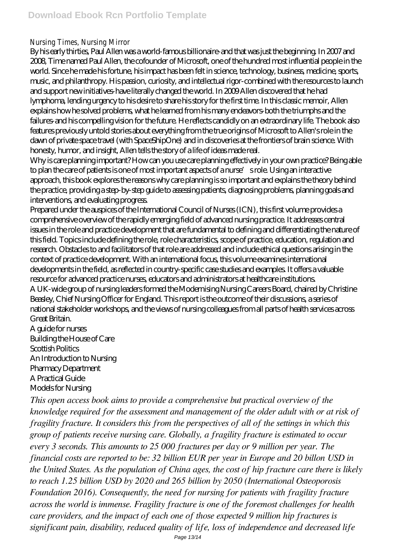Nursing Times, Nursing Mirror

By his early thirties, Paul Allen was a world-famous billionaire-and that was just the beginning. In 2007 and 2008, Time named Paul Allen, the cofounder of Microsoft, one of the hundred most influential people in the world. Since he made his fortune, his impact has been felt in science, technology, business, medicine, sports, music, and philanthropy. His passion, curiosity, and intellectual rigor-combined with the resources to launch and support new initiatives-have literally changed the world. In 2009 Allen discovered that he had lymphoma, lending urgency to his desire to share his story for the first time. In this classic memoir, Allen explains how he solved problems, what he learned from his many endeavors-both the triumphs and the failures-and his compelling vision for the future. He reflects candidly on an extraordinary life. The book also features previously untold stories about everything from the true origins of Microsoft to Allen's role in the dawn of private space travel (with SpaceShipOne) and in discoveries at the frontiers of brain science. With honesty, humor, and insight, Allen tells the story of a life of ideas made real.

Why is care planning important? How can you use care planning effectively in your own practice? Being able to plan the care of patients is one of most important aspects of a nurse's role. Using an interactive approach, this book explores the reasons why care planning is so important and explains the theory behind the practice, providing a step-by-step guide to assessing patients, diagnosing problems, planning goals and interventions, and evaluating progress.

Prepared under the auspices of the International Council of Nurses (ICN), this first volume provides a comprehensive overview of the rapidly emerging field of advanced nursing practice. It addresses central issues in the role and practice development that are fundamental to defining and differentiating the nature of this field. Topics include defining the role, role characteristics, scope of practice, education, regulation and research. Obstacles to and facilitators of that role are addressed and include ethical questions arising in the context of practice development. With an international focus, this volume examines international developments in the field, as reflected in country-specific case studies and examples. It offers a valuable resource for advanced practice nurses, educators and administrators at healthcare institutions. A UK-wide group of nursing leaders formed the Modernising Nursing Careers Board, chaired by Christine Beasley, Chief Nursing Officer for England. This report is the outcome of their discussions, a series of national stakeholder workshops, and the views of nursing colleagues from all parts of health services across Great Britain.

A guide for nurses Building the House of Care Scottish Politics An Introduction to Nursing Pharmacy Department A Practical Guide Models for Nursing

*This open access book aims to provide a comprehensive but practical overview of the knowledge required for the assessment and management of the older adult with or at risk of fragility fracture. It considers this from the perspectives of all of the settings in which this group of patients receive nursing care. Globally, a fragility fracture is estimated to occur every 3 seconds. This amounts to 25 000 fractures per day or 9 million per year. The financial costs are reported to be: 32 billion EUR per year in Europe and 20 billon USD in the United States. As the population of China ages, the cost of hip fracture care there is likely to reach 1.25 billion USD by 2020 and 265 billion by 2050 (International Osteoporosis Foundation 2016). Consequently, the need for nursing for patients with fragility fracture across the world is immense. Fragility fracture is one of the foremost challenges for health care providers, and the impact of each one of those expected 9 million hip fractures is significant pain, disability, reduced quality of life, loss of independence and decreased life*